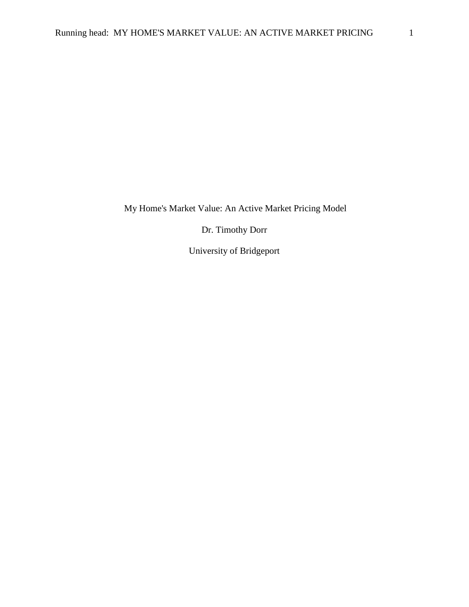My Home's Market Value: An Active Market Pricing Model

Dr. Timothy Dorr

University of Bridgeport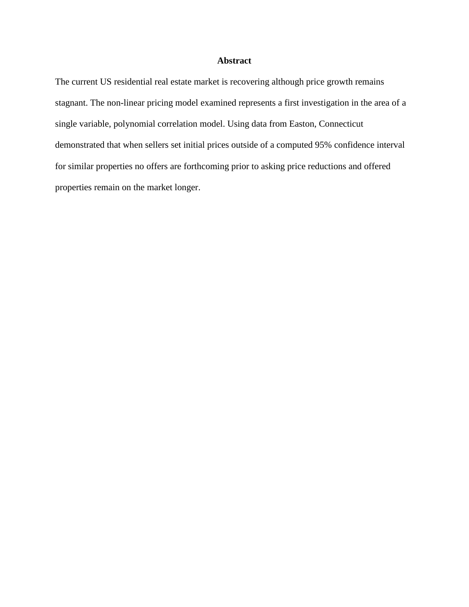# **Abstract**

The current US residential real estate market is recovering although price growth remains stagnant. The non-linear pricing model examined represents a first investigation in the area of a single variable, polynomial correlation model. Using data from Easton, Connecticut demonstrated that when sellers set initial prices outside of a computed 95% confidence interval for similar properties no offers are forthcoming prior to asking price reductions and offered properties remain on the market longer.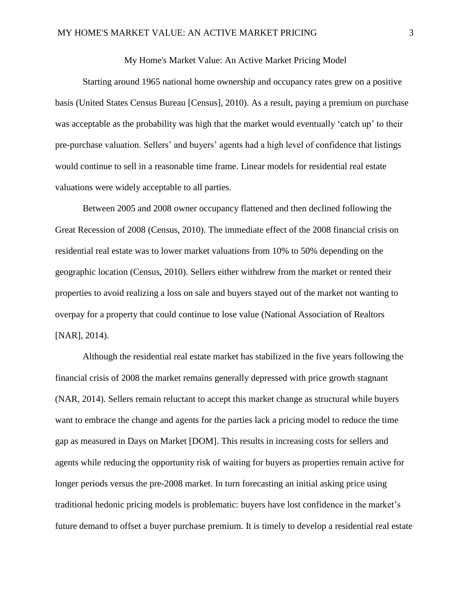#### My Home's Market Value: An Active Market Pricing Model

Starting around 1965 national home ownership and occupancy rates grew on a positive basis (United States Census Bureau [Census], 2010). As a result, paying a premium on purchase was acceptable as the probability was high that the market would eventually 'catch up' to their pre-purchase valuation. Sellers' and buyers' agents had a high level of confidence that listings would continue to sell in a reasonable time frame. Linear models for residential real estate valuations were widely acceptable to all parties.

Between 2005 and 2008 owner occupancy flattened and then declined following the Great Recession of 2008 (Census, 2010). The immediate effect of the 2008 financial crisis on residential real estate was to lower market valuations from 10% to 50% depending on the geographic location (Census, 2010). Sellers either withdrew from the market or rented their properties to avoid realizing a loss on sale and buyers stayed out of the market not wanting to overpay for a property that could continue to lose value (National Association of Realtors [NAR], 2014).

Although the residential real estate market has stabilized in the five years following the financial crisis of 2008 the market remains generally depressed with price growth stagnant (NAR, 2014). Sellers remain reluctant to accept this market change as structural while buyers want to embrace the change and agents for the parties lack a pricing model to reduce the time gap as measured in Days on Market [DOM]. This results in increasing costs for sellers and agents while reducing the opportunity risk of waiting for buyers as properties remain active for longer periods versus the pre-2008 market. In turn forecasting an initial asking price using traditional hedonic pricing models is problematic: buyers have lost confidence in the market's future demand to offset a buyer purchase premium. It is timely to develop a residential real estate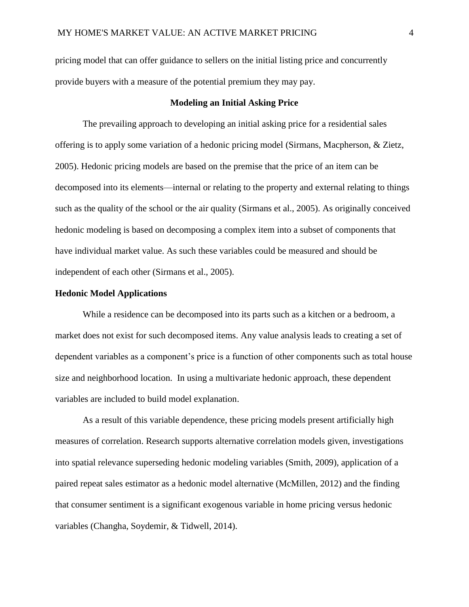pricing model that can offer guidance to sellers on the initial listing price and concurrently provide buyers with a measure of the potential premium they may pay.

#### **Modeling an Initial Asking Price**

The prevailing approach to developing an initial asking price for a residential sales offering is to apply some variation of a hedonic pricing model (Sirmans, Macpherson, & Zietz, 2005). Hedonic pricing models are based on the premise that the price of an item can be decomposed into its elements—internal or relating to the property and external relating to things such as the quality of the school or the air quality (Sirmans et al., 2005). As originally conceived hedonic modeling is based on decomposing a complex item into a subset of components that have individual market value. As such these variables could be measured and should be independent of each other (Sirmans et al., 2005).

### **Hedonic Model Applications**

While a residence can be decomposed into its parts such as a kitchen or a bedroom, a market does not exist for such decomposed items. Any value analysis leads to creating a set of dependent variables as a component's price is a function of other components such as total house size and neighborhood location. In using a multivariate hedonic approach, these dependent variables are included to build model explanation.

As a result of this variable dependence, these pricing models present artificially high measures of correlation. Research supports alternative correlation models given, investigations into spatial relevance superseding hedonic modeling variables (Smith, 2009), application of a paired repeat sales estimator as a hedonic model alternative (McMillen, 2012) and the finding that consumer sentiment is a significant exogenous variable in home pricing versus hedonic variables (Changha, Soydemir, & Tidwell, 2014).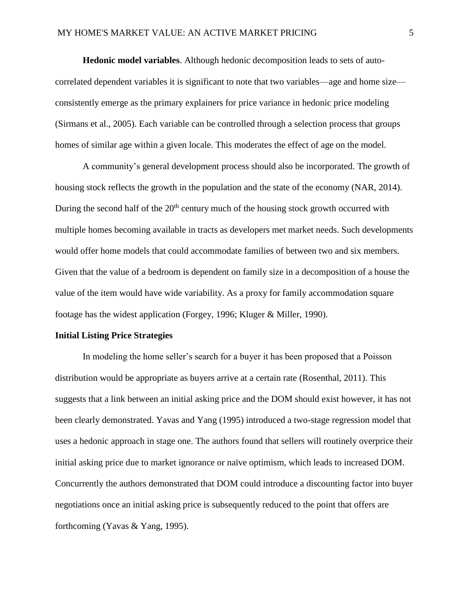**Hedonic model variables**. Although hedonic decomposition leads to sets of autocorrelated dependent variables it is significant to note that two variables—age and home size consistently emerge as the primary explainers for price variance in hedonic price modeling (Sirmans et al., 2005). Each variable can be controlled through a selection process that groups homes of similar age within a given locale. This moderates the effect of age on the model.

A community's general development process should also be incorporated. The growth of housing stock reflects the growth in the population and the state of the economy (NAR, 2014). During the second half of the  $20<sup>th</sup>$  century much of the housing stock growth occurred with multiple homes becoming available in tracts as developers met market needs. Such developments would offer home models that could accommodate families of between two and six members. Given that the value of a bedroom is dependent on family size in a decomposition of a house the value of the item would have wide variability. As a proxy for family accommodation square footage has the widest application (Forgey, 1996; Kluger & Miller, 1990).

#### **Initial Listing Price Strategies**

In modeling the home seller's search for a buyer it has been proposed that a Poisson distribution would be appropriate as buyers arrive at a certain rate (Rosenthal, 2011). This suggests that a link between an initial asking price and the DOM should exist however, it has not been clearly demonstrated. Yavas and Yang (1995) introduced a two-stage regression model that uses a hedonic approach in stage one. The authors found that sellers will routinely overprice their initial asking price due to market ignorance or naïve optimism, which leads to increased DOM. Concurrently the authors demonstrated that DOM could introduce a discounting factor into buyer negotiations once an initial asking price is subsequently reduced to the point that offers are forthcoming (Yavas & Yang, 1995).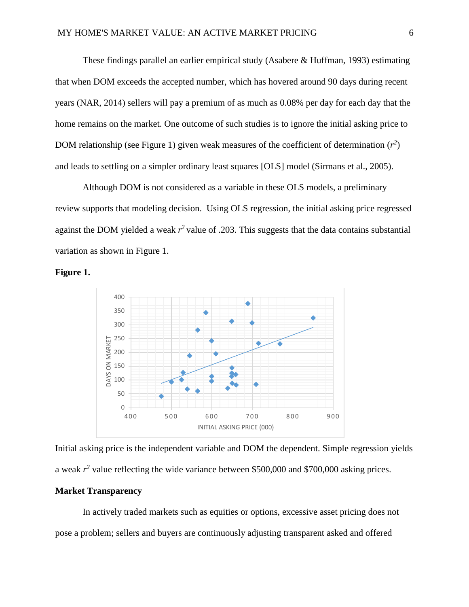These findings parallel an earlier empirical study (Asabere  $\&$  Huffman, 1993) estimating that when DOM exceeds the accepted number, which has hovered around 90 days during recent years (NAR, 2014) sellers will pay a premium of as much as 0.08% per day for each day that the home remains on the market. One outcome of such studies is to ignore the initial asking price to DOM relationship (see Figure 1) given weak measures of the coefficient of determination  $(r^2)$ and leads to settling on a simpler ordinary least squares [OLS] model (Sirmans et al., 2005).

Although DOM is not considered as a variable in these OLS models, a preliminary review supports that modeling decision. Using OLS regression, the initial asking price regressed against the DOM yielded a weak  $r^2$  value of .203. This suggests that the data contains substantial variation as shown in Figure 1.

**Figure 1.**



Initial asking price is the independent variable and DOM the dependent. Simple regression yields a weak  $r^2$  value reflecting the wide variance between \$500,000 and \$700,000 asking prices.

# **Market Transparency**

In actively traded markets such as equities or options, excessive asset pricing does not pose a problem; sellers and buyers are continuously adjusting transparent asked and offered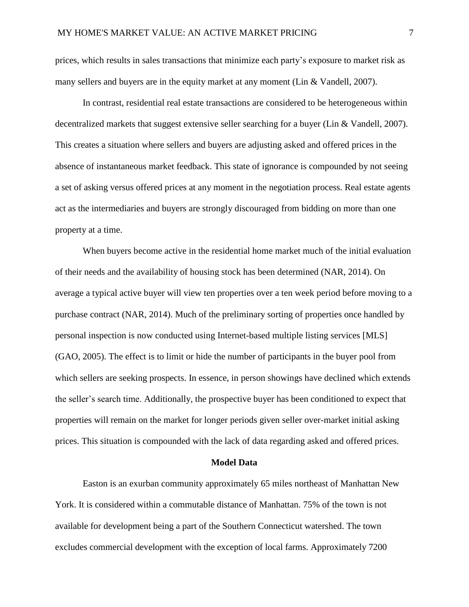prices, which results in sales transactions that minimize each party's exposure to market risk as many sellers and buyers are in the equity market at any moment (Lin & Vandell, 2007).

In contrast, residential real estate transactions are considered to be heterogeneous within decentralized markets that suggest extensive seller searching for a buyer (Lin & Vandell, 2007). This creates a situation where sellers and buyers are adjusting asked and offered prices in the absence of instantaneous market feedback. This state of ignorance is compounded by not seeing a set of asking versus offered prices at any moment in the negotiation process. Real estate agents act as the intermediaries and buyers are strongly discouraged from bidding on more than one property at a time.

When buyers become active in the residential home market much of the initial evaluation of their needs and the availability of housing stock has been determined (NAR, 2014). On average a typical active buyer will view ten properties over a ten week period before moving to a purchase contract (NAR, 2014). Much of the preliminary sorting of properties once handled by personal inspection is now conducted using Internet-based multiple listing services [MLS] (GAO, 2005). The effect is to limit or hide the number of participants in the buyer pool from which sellers are seeking prospects. In essence, in person showings have declined which extends the seller's search time. Additionally, the prospective buyer has been conditioned to expect that properties will remain on the market for longer periods given seller over-market initial asking prices. This situation is compounded with the lack of data regarding asked and offered prices.

#### **Model Data**

Easton is an exurban community approximately 65 miles northeast of Manhattan New York. It is considered within a commutable distance of Manhattan. 75% of the town is not available for development being a part of the Southern Connecticut watershed. The town excludes commercial development with the exception of local farms. Approximately 7200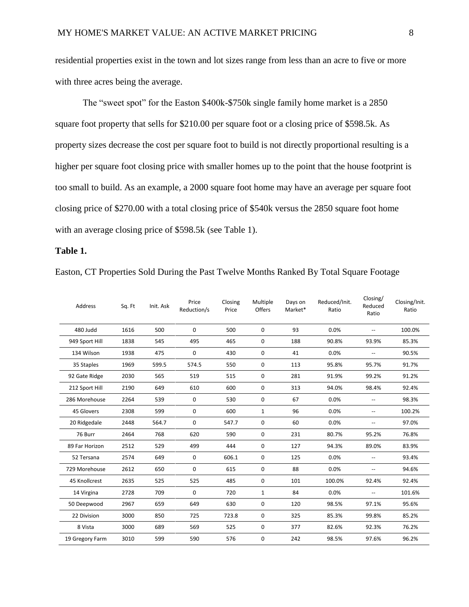residential properties exist in the town and lot sizes range from less than an acre to five or more with three acres being the average.

The "sweet spot" for the Easton \$400k-\$750k single family home market is a 2850 square foot property that sells for \$210.00 per square foot or a closing price of \$598.5k. As property sizes decrease the cost per square foot to build is not directly proportional resulting is a higher per square foot closing price with smaller homes up to the point that the house footprint is too small to build. As an example, a 2000 square foot home may have an average per square foot closing price of \$270.00 with a total closing price of \$540k versus the 2850 square foot home with an average closing price of \$598.5k (see Table 1).

## **Table 1.**

| Address         | Sq. Ft | Init. Ask | Price<br>Reduction/s | Closing<br>Price | Multiple<br>Offers | Days on<br>Market* | Reduced/Init.<br>Ratio | ופי ייכים<br>Reduced<br>Ratio | Closing/Init.<br>Ratio |
|-----------------|--------|-----------|----------------------|------------------|--------------------|--------------------|------------------------|-------------------------------|------------------------|
| 480 Judd        | 1616   | 500       | 0                    | 500              | $\mathbf{0}$       | 93                 | 0.0%                   |                               | 100.0%                 |
| 949 Sport Hill  | 1838   | 545       | 495                  | 465              | 0                  | 188                | 90.8%                  | 93.9%                         | 85.3%                  |
| 134 Wilson      | 1938   | 475       | 0                    | 430              | $\mathbf 0$        | 41                 | 0.0%                   |                               | 90.5%                  |
| 35 Staples      | 1969   | 599.5     | 574.5                | 550              | $\mathbf 0$        | 113                | 95.8%                  | 95.7%                         | 91.7%                  |
| 92 Gate Ridge   | 2030   | 565       | 519                  | 515              | $\mathbf{0}$       | 281                | 91.9%                  | 99.2%                         | 91.2%                  |
| 212 Sport Hill  | 2190   | 649       | 610                  | 600              | $\mathbf 0$        | 313                | 94.0%                  | 98.4%                         | 92.4%                  |
| 286 Morehouse   | 2264   | 539       | 0                    | 530              | 0                  | 67                 | 0.0%                   |                               | 98.3%                  |
| 45 Glovers      | 2308   | 599       | 0                    | 600              | $\mathbf{1}$       | 96                 | 0.0%                   | $\overline{\phantom{a}}$      | 100.2%                 |
| 20 Ridgedale    | 2448   | 564.7     | 0                    | 547.7            | $\mathbf 0$        | 60                 | 0.0%                   | --                            | 97.0%                  |
| 76 Burr         | 2464   | 768       | 620                  | 590              | $\mathbf{0}$       | 231                | 80.7%                  | 95.2%                         | 76.8%                  |
| 89 Far Horizon  | 2512   | 529       | 499                  | 444              | $\mathbf{0}$       | 127                | 94.3%                  | 89.0%                         | 83.9%                  |
| 52 Tersana      | 2574   | 649       | $\mathbf 0$          | 606.1            | $\mathbf{0}$       | 125                | 0.0%                   | $\overline{\phantom{a}}$      | 93.4%                  |
| 729 Morehouse   | 2612   | 650       | 0                    | 615              | $\mathbf{0}$       | 88                 | 0.0%                   | $\overline{\phantom{a}}$      | 94.6%                  |
| 45 Knollcrest   | 2635   | 525       | 525                  | 485              | 0                  | 101                | 100.0%                 | 92.4%                         | 92.4%                  |
| 14 Virgina      | 2728   | 709       | 0                    | 720              | $\mathbf{1}$       | 84                 | 0.0%                   | $\overline{a}$                | 101.6%                 |
| 50 Deepwood     | 2967   | 659       | 649                  | 630              | $\mathbf 0$        | 120                | 98.5%                  | 97.1%                         | 95.6%                  |
| 22 Division     | 3000   | 850       | 725                  | 723.8            | $\mathbf 0$        | 325                | 85.3%                  | 99.8%                         | 85.2%                  |
| 8 Vista         | 3000   | 689       | 569                  | 525              | $\mathbf 0$        | 377                | 82.6%                  | 92.3%                         | 76.2%                  |
| 19 Gregory Farm | 3010   | 599       | 590                  | 576              | 0                  | 242                | 98.5%                  | 97.6%                         | 96.2%                  |

Easton, CT Properties Sold During the Past Twelve Months Ranked By Total Square Footage

Closing/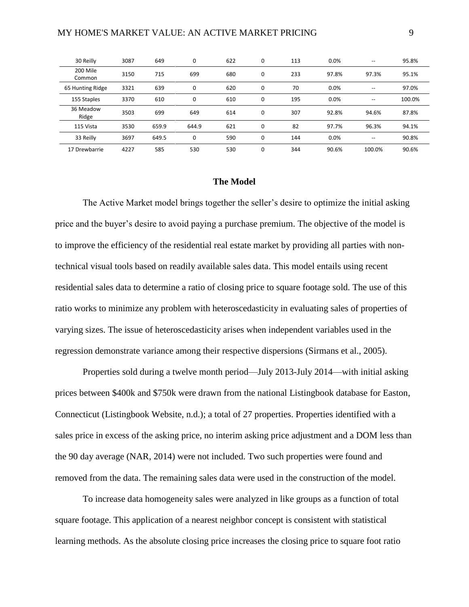| 30 Reilly          | 3087 | 649   | $\mathbf 0$ | 622 | $\mathbf 0$ | 113 | 0.0%  | $- -$                                 | 95.8%  |
|--------------------|------|-------|-------------|-----|-------------|-----|-------|---------------------------------------|--------|
| 200 Mile<br>Common | 3150 | 715   | 699         | 680 | $\mathbf 0$ | 233 | 97.8% | 97.3%                                 | 95.1%  |
| 65 Hunting Ridge   | 3321 | 639   | $\mathbf 0$ | 620 | $\mathbf 0$ | 70  | 0.0%  | $\qquad \qquad -$                     | 97.0%  |
| 155 Staples        | 3370 | 610   | 0           | 610 | 0           | 195 | 0.0%  | $\hspace{0.05cm}$ – $\hspace{0.05cm}$ | 100.0% |
| 36 Meadow<br>Ridge | 3503 | 699   | 649         | 614 | $\mathbf 0$ | 307 | 92.8% | 94.6%                                 | 87.8%  |
| 115 Vista          | 3530 | 659.9 | 644.9       | 621 | 0           | 82  | 97.7% | 96.3%                                 | 94.1%  |
| 33 Reilly          | 3697 | 649.5 | $\mathbf 0$ | 590 | $\mathbf 0$ | 144 | 0.0%  | $\hspace{0.05cm}$ – $\hspace{0.05cm}$ | 90.8%  |
| 17 Drewbarrie      | 4227 | 585   | 530         | 530 | 0           | 344 | 90.6% | 100.0%                                | 90.6%  |

### **The Model**

The Active Market model brings together the seller's desire to optimize the initial asking price and the buyer's desire to avoid paying a purchase premium. The objective of the model is to improve the efficiency of the residential real estate market by providing all parties with nontechnical visual tools based on readily available sales data. This model entails using recent residential sales data to determine a ratio of closing price to square footage sold. The use of this ratio works to minimize any problem with heteroscedasticity in evaluating sales of properties of varying sizes. The issue of heteroscedasticity arises when independent variables used in the regression demonstrate variance among their respective dispersions (Sirmans et al., 2005).

Properties sold during a twelve month period—July 2013-July 2014—with initial asking prices between \$400k and \$750k were drawn from the national Listingbook database for Easton, Connecticut (Listingbook Website, n.d.); a total of 27 properties. Properties identified with a sales price in excess of the asking price, no interim asking price adjustment and a DOM less than the 90 day average (NAR, 2014) were not included. Two such properties were found and removed from the data. The remaining sales data were used in the construction of the model.

To increase data homogeneity sales were analyzed in like groups as a function of total square footage. This application of a nearest neighbor concept is consistent with statistical learning methods. As the absolute closing price increases the closing price to square foot ratio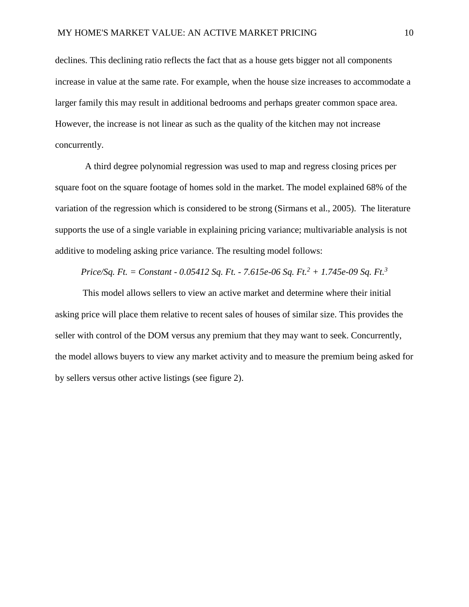declines. This declining ratio reflects the fact that as a house gets bigger not all components increase in value at the same rate. For example, when the house size increases to accommodate a larger family this may result in additional bedrooms and perhaps greater common space area. However, the increase is not linear as such as the quality of the kitchen may not increase concurrently.

A third degree polynomial regression was used to map and regress closing prices per square foot on the square footage of homes sold in the market. The model explained 68% of the variation of the regression which is considered to be strong (Sirmans et al., 2005). The literature supports the use of a single variable in explaining pricing variance; multivariable analysis is not additive to modeling asking price variance. The resulting model follows:

## *Price/Sq. Ft. = Constant - 0.05412 Sq. Ft. - 7.615e-06 Sq. Ft.<sup>2</sup> + 1.745e-09 Sq. Ft.<sup>3</sup>*

This model allows sellers to view an active market and determine where their initial asking price will place them relative to recent sales of houses of similar size. This provides the seller with control of the DOM versus any premium that they may want to seek. Concurrently, the model allows buyers to view any market activity and to measure the premium being asked for by sellers versus other active listings (see figure 2).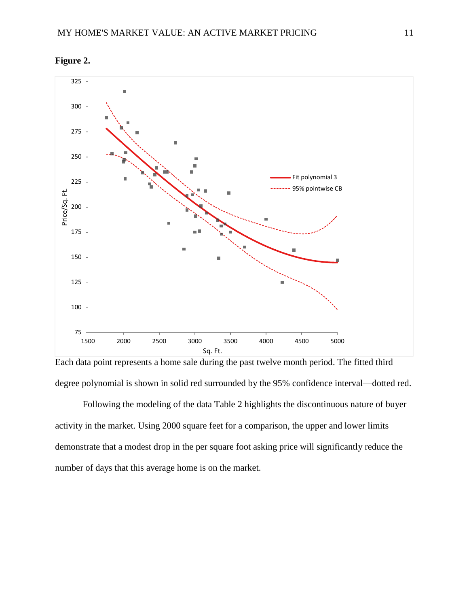





Following the modeling of the data Table 2 highlights the discontinuous nature of buyer activity in the market. Using 2000 square feet for a comparison, the upper and lower limits demonstrate that a modest drop in the per square foot asking price will significantly reduce the number of days that this average home is on the market.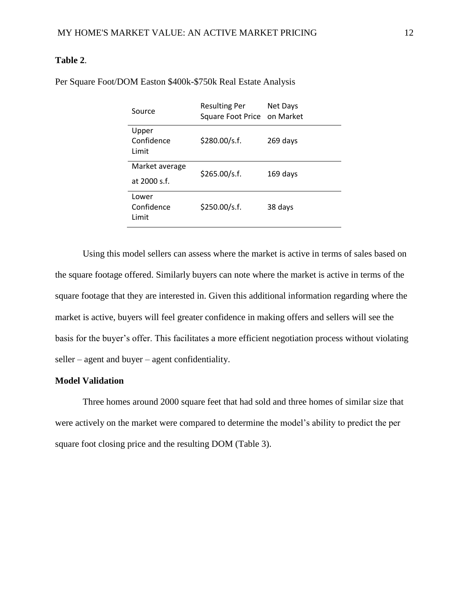## **Table 2**.

| Source                         | <b>Resulting Per</b><br>Square Foot Price on Market | Net Days |  |  |
|--------------------------------|-----------------------------------------------------|----------|--|--|
| Upper<br>Confidence<br>Limit   | \$280.00/s.f.                                       | 269 days |  |  |
| Market average<br>at 2000 s.f. | \$265.00/s.f.                                       | 169 days |  |  |
| Lower<br>Confidence<br>Limit   | \$250.00/s.f.                                       | 38 days  |  |  |

Per Square Foot/DOM Easton \$400k-\$750k Real Estate Analysis

Using this model sellers can assess where the market is active in terms of sales based on the square footage offered. Similarly buyers can note where the market is active in terms of the square footage that they are interested in. Given this additional information regarding where the market is active, buyers will feel greater confidence in making offers and sellers will see the basis for the buyer's offer. This facilitates a more efficient negotiation process without violating seller – agent and buyer – agent confidentiality.

## **Model Validation**

Three homes around 2000 square feet that had sold and three homes of similar size that were actively on the market were compared to determine the model's ability to predict the per square foot closing price and the resulting DOM (Table 3).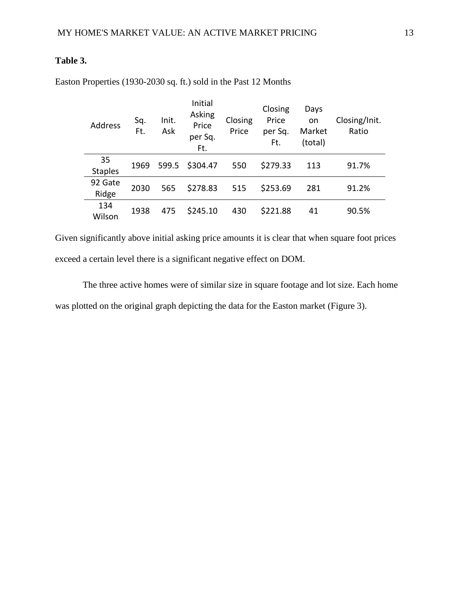# **Table 3.**

| <b>Address</b>       | Sq.<br>Ft. | Init.<br>Ask | Initial<br>Asking<br>Price<br>per Sq.<br>Ft. | Closing<br>Price | Closing<br>Price<br>per Sq.<br>Ft. | Days<br>on<br>Market<br>(total) | Closing/Init.<br>Ratio |
|----------------------|------------|--------------|----------------------------------------------|------------------|------------------------------------|---------------------------------|------------------------|
| 35<br><b>Staples</b> | 1969       | 599.5        | \$304.47                                     | 550              | \$279.33                           | 113                             | 91.7%                  |
| 92 Gate<br>Ridge     | 2030       | 565          | \$278.83                                     | 515              | \$253.69                           | 281                             | 91.2%                  |
| 134<br>Wilson        | 1938       | 475          | \$245.10                                     | 430              | \$221.88                           | 41                              | 90.5%                  |

Easton Properties (1930-2030 sq. ft.) sold in the Past 12 Months

Given significantly above initial asking price amounts it is clear that when square foot prices exceed a certain level there is a significant negative effect on DOM.

The three active homes were of similar size in square footage and lot size. Each home was plotted on the original graph depicting the data for the Easton market (Figure 3).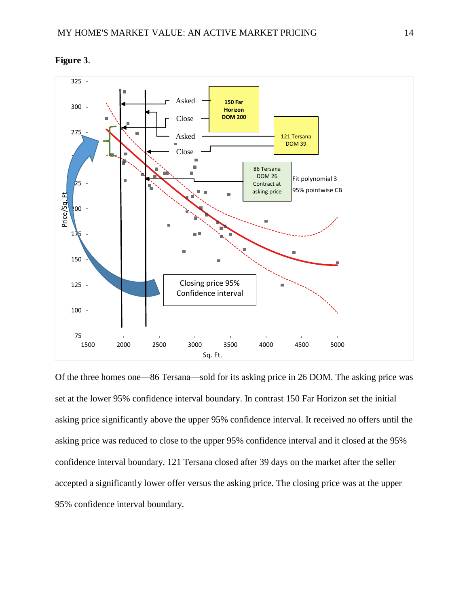

**Figure 3**.

Of the three homes one—86 Tersana—sold for its asking price in 26 DOM. The asking price was set at the lower 95% confidence interval boundary. In contrast 150 Far Horizon set the initial asking price significantly above the upper 95% confidence interval. It received no offers until the asking price was reduced to close to the upper 95% confidence interval and it closed at the 95% confidence interval boundary. 121 Tersana closed after 39 days on the market after the seller accepted a significantly lower offer versus the asking price. The closing price was at the upper 95% confidence interval boundary.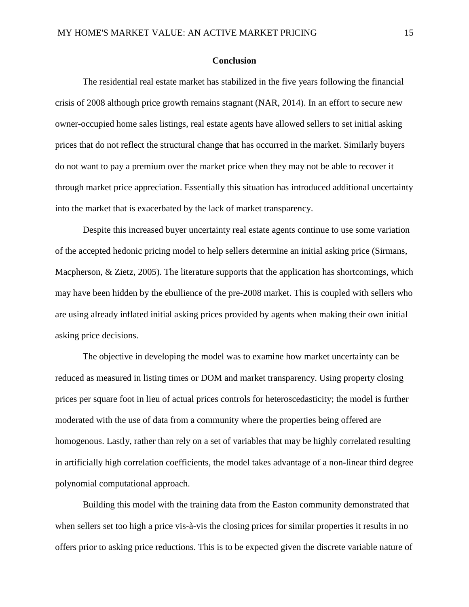#### **Conclusion**

The residential real estate market has stabilized in the five years following the financial crisis of 2008 although price growth remains stagnant (NAR, 2014). In an effort to secure new owner-occupied home sales listings, real estate agents have allowed sellers to set initial asking prices that do not reflect the structural change that has occurred in the market. Similarly buyers do not want to pay a premium over the market price when they may not be able to recover it through market price appreciation. Essentially this situation has introduced additional uncertainty into the market that is exacerbated by the lack of market transparency.

Despite this increased buyer uncertainty real estate agents continue to use some variation of the accepted hedonic pricing model to help sellers determine an initial asking price (Sirmans, Macpherson, & Zietz, 2005). The literature supports that the application has shortcomings, which may have been hidden by the ebullience of the pre-2008 market. This is coupled with sellers who are using already inflated initial asking prices provided by agents when making their own initial asking price decisions.

The objective in developing the model was to examine how market uncertainty can be reduced as measured in listing times or DOM and market transparency. Using property closing prices per square foot in lieu of actual prices controls for heteroscedasticity; the model is further moderated with the use of data from a community where the properties being offered are homogenous. Lastly, rather than rely on a set of variables that may be highly correlated resulting in artificially high correlation coefficients, the model takes advantage of a non-linear third degree polynomial computational approach.

Building this model with the training data from the Easton community demonstrated that when sellers set too high a price vis-à-vis the closing prices for similar properties it results in no offers prior to asking price reductions. This is to be expected given the discrete variable nature of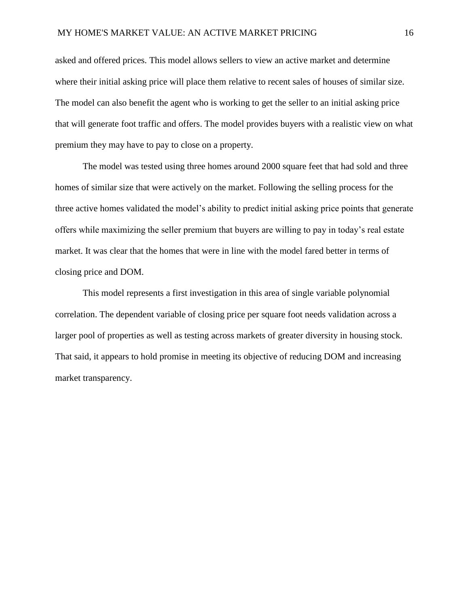asked and offered prices. This model allows sellers to view an active market and determine where their initial asking price will place them relative to recent sales of houses of similar size. The model can also benefit the agent who is working to get the seller to an initial asking price that will generate foot traffic and offers. The model provides buyers with a realistic view on what premium they may have to pay to close on a property.

The model was tested using three homes around 2000 square feet that had sold and three homes of similar size that were actively on the market. Following the selling process for the three active homes validated the model's ability to predict initial asking price points that generate offers while maximizing the seller premium that buyers are willing to pay in today's real estate market. It was clear that the homes that were in line with the model fared better in terms of closing price and DOM.

This model represents a first investigation in this area of single variable polynomial correlation. The dependent variable of closing price per square foot needs validation across a larger pool of properties as well as testing across markets of greater diversity in housing stock. That said, it appears to hold promise in meeting its objective of reducing DOM and increasing market transparency.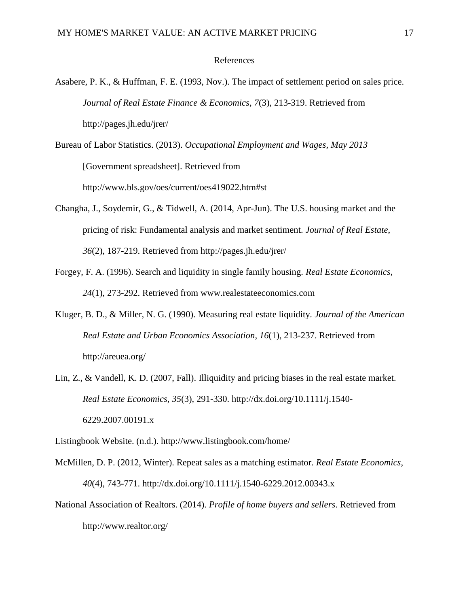#### References

- Asabere, P. K., & Huffman, F. E. (1993, Nov.). The impact of settlement period on sales price. *Journal of Real Estate Finance & Economics*, *7*(3), 213-319. Retrieved from http://pages.jh.edu/jrer/
- Bureau of Labor Statistics. (2013). *Occupational Employment and Wages, May 2013* [Government spreadsheet]. Retrieved from http://www.bls.gov/oes/current/oes419022.htm#st
- Changha, J., Soydemir, G., & Tidwell, A. (2014, Apr-Jun). The U.S. housing market and the pricing of risk: Fundamental analysis and market sentiment. *Journal of Real Estate*, *36*(2), 187-219. Retrieved from http://pages.jh.edu/jrer/
- Forgey, F. A. (1996). Search and liquidity in single family housing. *Real Estate Economics*, *24*(1), 273-292. Retrieved from www.realestateeconomics.com
- Kluger, B. D., & Miller, N. G. (1990). Measuring real estate liquidity. *Journal of the American Real Estate and Urban Economics Association*, *16*(1), 213-237. Retrieved from http://areuea.org/
- Lin, Z., & Vandell, K. D. (2007, Fall). Illiquidity and pricing biases in the real estate market. *Real Estate Economics*, *35*(3), 291-330. http://dx.doi.org/10.1111/j.1540- 6229.2007.00191.x

Listingbook Website. (n.d.). http://www.listingbook.com/home/

- McMillen, D. P. (2012, Winter). Repeat sales as a matching estimator. *Real Estate Economics*, *40*(4), 743-771. http://dx.doi.org/10.1111/j.1540-6229.2012.00343.x
- National Association of Realtors. (2014). *Profile of home buyers and sellers*. Retrieved from http://www.realtor.org/